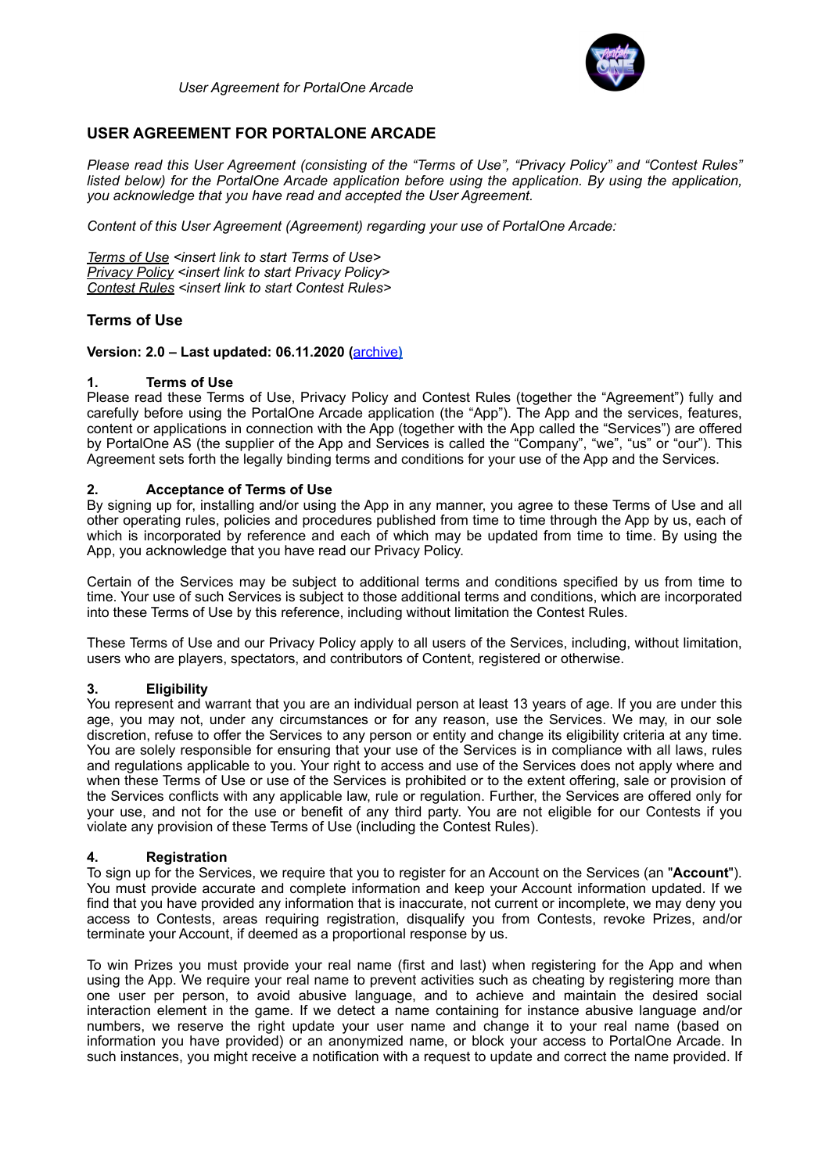

# **USER AGREEMENT FOR PORTALONE ARCADE**

*Please read this User Agreement (consisting of the "Terms of Use", "Privacy Policy" and "Contest Rules" listed below) for the PortalOne Arcade application before using the application. By using the application, you acknowledge that you have read and accepted the User Agreement.* 

*Content of this User Agreement (Agreement) regarding your use of PortalOne Arcade:* 

*Terms of Use <insert link to start Terms of Use> Privacy Policy <insert link to start Privacy Policy> Contest Rules <insert link to start Contest Rules>*

# **Terms of Use**

## **Version: 2.0 – Last updated: 06.11.2020 (**[archive](https://www.portalone.com/useragreement/archived)**)**

#### **1. Terms of Use**

Please read these Terms of Use, Privacy Policy and Contest Rules (together the "Agreement") fully and carefully before using the PortalOne Arcade application (the "App"). The App and the services, features, content or applications in connection with the App (together with the App called the "Services") are offered by PortalOne AS (the supplier of the App and Services is called the "Company", "we", "us" or "our"). This Agreement sets forth the legally binding terms and conditions for your use of the App and the Services.

#### **2. Acceptance of Terms of Use**

By signing up for, installing and/or using the App in any manner, you agree to these Terms of Use and all other operating rules, policies and procedures published from time to time through the App by us, each of which is incorporated by reference and each of which may be updated from time to time. By using the App, you acknowledge that you have read our Privacy Policy.

Certain of the Services may be subject to additional terms and conditions specified by us from time to time. Your use of such Services is subject to those additional terms and conditions, which are incorporated into these Terms of Use by this reference, including without limitation the Contest Rules.

These Terms of Use and our Privacy Policy apply to all users of the Services, including, without limitation, users who are players, spectators, and contributors of Content, registered or otherwise.

## **3. Eligibility**

You represent and warrant that you are an individual person at least 13 years of age. If you are under this age, you may not, under any circumstances or for any reason, use the Services. We may, in our sole discretion, refuse to offer the Services to any person or entity and change its eligibility criteria at any time. You are solely responsible for ensuring that your use of the Services is in compliance with all laws, rules and regulations applicable to you. Your right to access and use of the Services does not apply where and when these Terms of Use or use of the Services is prohibited or to the extent offering, sale or provision of the Services conflicts with any applicable law, rule or regulation. Further, the Services are offered only for your use, and not for the use or benefit of any third party. You are not eligible for our Contests if you violate any provision of these Terms of Use (including the Contest Rules).

#### **4. Registration**

To sign up for the Services, we require that you to register for an Account on the Services (an "**Account**"). You must provide accurate and complete information and keep your Account information updated. If we find that you have provided any information that is inaccurate, not current or incomplete, we may deny you access to Contests, areas requiring registration, disqualify you from Contests, revoke Prizes, and/or terminate your Account, if deemed as a proportional response by us.

To win Prizes you must provide your real name (first and last) when registering for the App and when using the App. We require your real name to prevent activities such as cheating by registering more than one user per person, to avoid abusive language, and to achieve and maintain the desired social interaction element in the game. If we detect a name containing for instance abusive language and/or numbers, we reserve the right update your user name and change it to your real name (based on information you have provided) or an anonymized name, or block your access to PortalOne Arcade. In such instances, you might receive a notification with a request to update and correct the name provided. If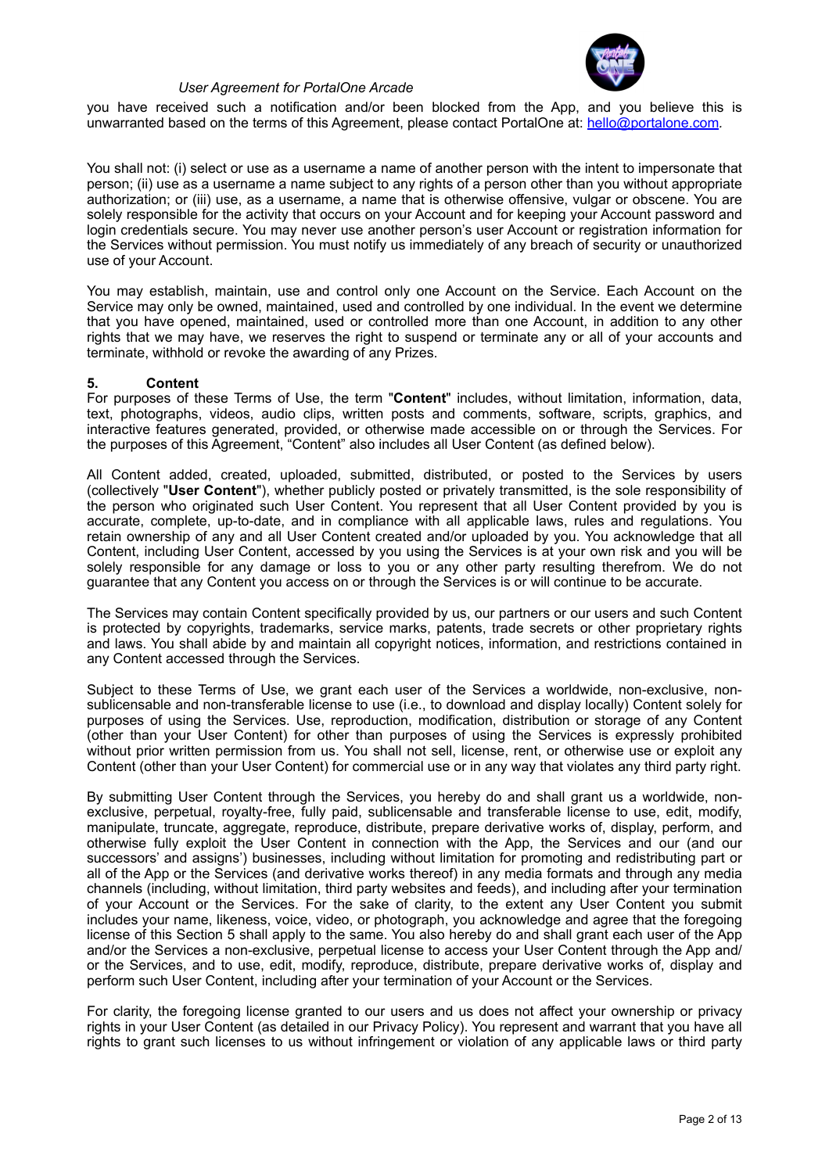

you have received such a notification and/or been blocked from the App, and you believe this is unwarranted based on the terms of this Agreement, please contact PortalOne at: [hello@portalone.com](mailto:hello@portalone.com)*.*

You shall not: (i) select or use as a username a name of another person with the intent to impersonate that person; (ii) use as a username a name subject to any rights of a person other than you without appropriate authorization; or (iii) use, as a username, a name that is otherwise offensive, vulgar or obscene. You are solely responsible for the activity that occurs on your Account and for keeping your Account password and login credentials secure. You may never use another person's user Account or registration information for the Services without permission. You must notify us immediately of any breach of security or unauthorized use of your Account.

You may establish, maintain, use and control only one Account on the Service. Each Account on the Service may only be owned, maintained, used and controlled by one individual. In the event we determine that you have opened, maintained, used or controlled more than one Account, in addition to any other rights that we may have, we reserves the right to suspend or terminate any or all of your accounts and terminate, withhold or revoke the awarding of any Prizes.

#### **5. Content**

For purposes of these Terms of Use, the term "**Content**" includes, without limitation, information, data, text, photographs, videos, audio clips, written posts and comments, software, scripts, graphics, and interactive features generated, provided, or otherwise made accessible on or through the Services. For the purposes of this Agreement, "Content" also includes all User Content (as defined below).

All Content added, created, uploaded, submitted, distributed, or posted to the Services by users (collectively "**User Content**"), whether publicly posted or privately transmitted, is the sole responsibility of the person who originated such User Content. You represent that all User Content provided by you is accurate, complete, up-to-date, and in compliance with all applicable laws, rules and regulations. You retain ownership of any and all User Content created and/or uploaded by you. You acknowledge that all Content, including User Content, accessed by you using the Services is at your own risk and you will be solely responsible for any damage or loss to you or any other party resulting therefrom. We do not guarantee that any Content you access on or through the Services is or will continue to be accurate.

The Services may contain Content specifically provided by us, our partners or our users and such Content is protected by copyrights, trademarks, service marks, patents, trade secrets or other proprietary rights and laws. You shall abide by and maintain all copyright notices, information, and restrictions contained in any Content accessed through the Services.

Subject to these Terms of Use, we grant each user of the Services a worldwide, non-exclusive, nonsublicensable and non-transferable license to use (i.e., to download and display locally) Content solely for purposes of using the Services. Use, reproduction, modification, distribution or storage of any Content (other than your User Content) for other than purposes of using the Services is expressly prohibited without prior written permission from us. You shall not sell, license, rent, or otherwise use or exploit any Content (other than your User Content) for commercial use or in any way that violates any third party right.

By submitting User Content through the Services, you hereby do and shall grant us a worldwide, nonexclusive, perpetual, royalty-free, fully paid, sublicensable and transferable license to use, edit, modify, manipulate, truncate, aggregate, reproduce, distribute, prepare derivative works of, display, perform, and otherwise fully exploit the User Content in connection with the App, the Services and our (and our successors' and assigns') businesses, including without limitation for promoting and redistributing part or all of the App or the Services (and derivative works thereof) in any media formats and through any media channels (including, without limitation, third party websites and feeds), and including after your termination of your Account or the Services. For the sake of clarity, to the extent any User Content you submit includes your name, likeness, voice, video, or photograph, you acknowledge and agree that the foregoing license of this Section 5 shall apply to the same. You also hereby do and shall grant each user of the App and/or the Services a non-exclusive, perpetual license to access your User Content through the App and/ or the Services, and to use, edit, modify, reproduce, distribute, prepare derivative works of, display and perform such User Content, including after your termination of your Account or the Services.

For clarity, the foregoing license granted to our users and us does not affect your ownership or privacy rights in your User Content (as detailed in our Privacy Policy). You represent and warrant that you have all rights to grant such licenses to us without infringement or violation of any applicable laws or third party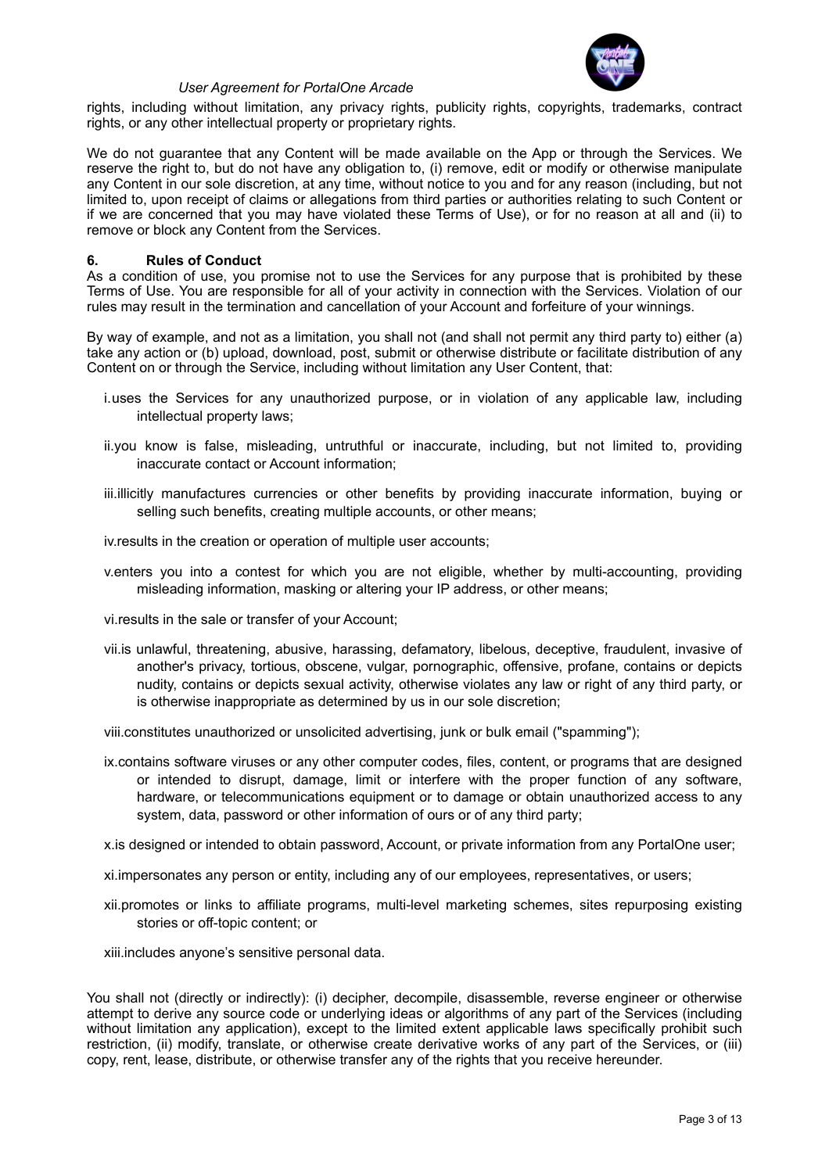

rights, including without limitation, any privacy rights, publicity rights, copyrights, trademarks, contract rights, or any other intellectual property or proprietary rights.

We do not guarantee that any Content will be made available on the App or through the Services. We reserve the right to, but do not have any obligation to, (i) remove, edit or modify or otherwise manipulate any Content in our sole discretion, at any time, without notice to you and for any reason (including, but not limited to, upon receipt of claims or allegations from third parties or authorities relating to such Content or if we are concerned that you may have violated these Terms of Use), or for no reason at all and (ii) to remove or block any Content from the Services.

#### **6. Rules of Conduct**

As a condition of use, you promise not to use the Services for any purpose that is prohibited by these Terms of Use. You are responsible for all of your activity in connection with the Services. Violation of our rules may result in the termination and cancellation of your Account and forfeiture of your winnings.

By way of example, and not as a limitation, you shall not (and shall not permit any third party to) either (a) take any action or (b) upload, download, post, submit or otherwise distribute or facilitate distribution of any Content on or through the Service, including without limitation any User Content, that:

- i.uses the Services for any unauthorized purpose, or in violation of any applicable law, including intellectual property laws;
- ii.you know is false, misleading, untruthful or inaccurate, including, but not limited to, providing inaccurate contact or Account information;
- iii.illicitly manufactures currencies or other benefits by providing inaccurate information, buying or selling such benefits, creating multiple accounts, or other means;

iv.results in the creation or operation of multiple user accounts;

v.enters you into a contest for which you are not eligible, whether by multi-accounting, providing misleading information, masking or altering your IP address, or other means;

vi.results in the sale or transfer of your Account;

vii.is unlawful, threatening, abusive, harassing, defamatory, libelous, deceptive, fraudulent, invasive of another's privacy, tortious, obscene, vulgar, pornographic, offensive, profane, contains or depicts nudity, contains or depicts sexual activity, otherwise violates any law or right of any third party, or is otherwise inappropriate as determined by us in our sole discretion;

viii.constitutes unauthorized or unsolicited advertising, junk or bulk email ("spamming");

ix.contains software viruses or any other computer codes, files, content, or programs that are designed or intended to disrupt, damage, limit or interfere with the proper function of any software, hardware, or telecommunications equipment or to damage or obtain unauthorized access to any system, data, password or other information of ours or of any third party;

x.is designed or intended to obtain password, Account, or private information from any PortalOne user;

- xi.impersonates any person or entity, including any of our employees, representatives, or users;
- xii.promotes or links to affiliate programs, multi-level marketing schemes, sites repurposing existing stories or off-topic content; or

xiii.includes anyone's sensitive personal data.

You shall not (directly or indirectly): (i) decipher, decompile, disassemble, reverse engineer or otherwise attempt to derive any source code or underlying ideas or algorithms of any part of the Services (including without limitation any application), except to the limited extent applicable laws specifically prohibit such restriction, (ii) modify, translate, or otherwise create derivative works of any part of the Services, or (iii) copy, rent, lease, distribute, or otherwise transfer any of the rights that you receive hereunder.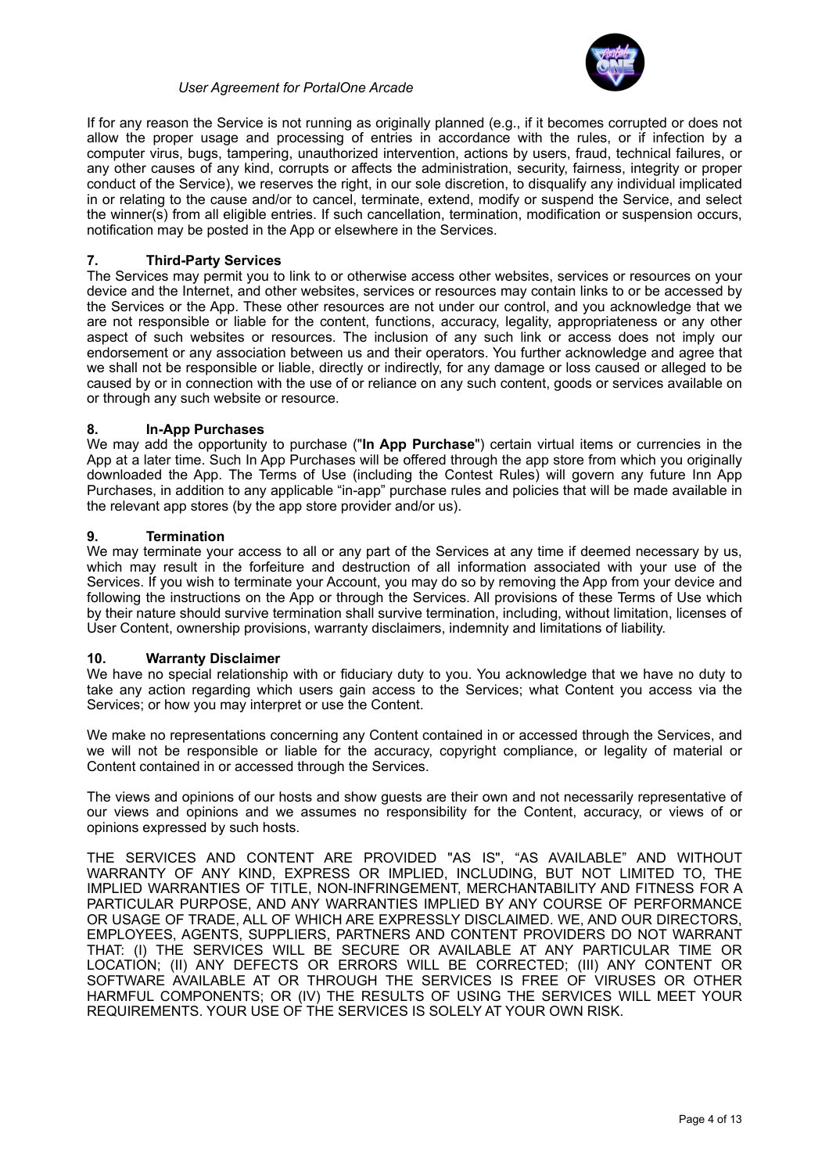

If for any reason the Service is not running as originally planned (e.g., if it becomes corrupted or does not allow the proper usage and processing of entries in accordance with the rules, or if infection by a computer virus, bugs, tampering, unauthorized intervention, actions by users, fraud, technical failures, or any other causes of any kind, corrupts or affects the administration, security, fairness, integrity or proper conduct of the Service), we reserves the right, in our sole discretion, to disqualify any individual implicated in or relating to the cause and/or to cancel, terminate, extend, modify or suspend the Service, and select the winner(s) from all eligible entries. If such cancellation, termination, modification or suspension occurs, notification may be posted in the App or elsewhere in the Services.

## **7. Third-Party Services**

The Services may permit you to link to or otherwise access other websites, services or resources on your device and the Internet, and other websites, services or resources may contain links to or be accessed by the Services or the App. These other resources are not under our control, and you acknowledge that we are not responsible or liable for the content, functions, accuracy, legality, appropriateness or any other aspect of such websites or resources. The inclusion of any such link or access does not imply our endorsement or any association between us and their operators. You further acknowledge and agree that we shall not be responsible or liable, directly or indirectly, for any damage or loss caused or alleged to be caused by or in connection with the use of or reliance on any such content, goods or services available on or through any such website or resource.

#### **8. In-App Purchases**

We may add the opportunity to purchase ("**In App Purchase**") certain virtual items or currencies in the App at a later time. Such In App Purchases will be offered through the app store from which you originally downloaded the App. The Terms of Use (including the Contest Rules) will govern any future Inn App Purchases, in addition to any applicable "in-app" purchase rules and policies that will be made available in the relevant app stores (by the app store provider and/or us).

#### **9. Termination**

We may terminate your access to all or any part of the Services at any time if deemed necessary by us, which may result in the forfeiture and destruction of all information associated with your use of the Services. If you wish to terminate your Account, you may do so by removing the App from your device and following the instructions on the App or through the Services. All provisions of these Terms of Use which by their nature should survive termination shall survive termination, including, without limitation, licenses of User Content, ownership provisions, warranty disclaimers, indemnity and limitations of liability.

## **10. Warranty Disclaimer**

We have no special relationship with or fiduciary duty to you. You acknowledge that we have no duty to take any action regarding which users gain access to the Services; what Content you access via the Services; or how you may interpret or use the Content.

We make no representations concerning any Content contained in or accessed through the Services, and we will not be responsible or liable for the accuracy, copyright compliance, or legality of material or Content contained in or accessed through the Services.

The views and opinions of our hosts and show guests are their own and not necessarily representative of our views and opinions and we assumes no responsibility for the Content, accuracy, or views of or opinions expressed by such hosts.

THE SERVICES AND CONTENT ARE PROVIDED "AS IS", "AS AVAILABLE" AND WITHOUT WARRANTY OF ANY KIND, EXPRESS OR IMPLIED, INCLUDING, BUT NOT LIMITED TO, THE IMPLIED WARRANTIES OF TITLE, NON-INFRINGEMENT, MERCHANTABILITY AND FITNESS FOR A PARTICULAR PURPOSE, AND ANY WARRANTIES IMPLIED BY ANY COURSE OF PERFORMANCE OR USAGE OF TRADE, ALL OF WHICH ARE EXPRESSLY DISCLAIMED. WE, AND OUR DIRECTORS, EMPLOYEES, AGENTS, SUPPLIERS, PARTNERS AND CONTENT PROVIDERS DO NOT WARRANT THAT: (I) THE SERVICES WILL BE SECURE OR AVAILABLE AT ANY PARTICULAR TIME OR LOCATION; (II) ANY DEFECTS OR ERRORS WILL BE CORRECTED; (III) ANY CONTENT OR SOFTWARE AVAILABLE AT OR THROUGH THE SERVICES IS FREE OF VIRUSES OR OTHER HARMFUL COMPONENTS; OR (IV) THE RESULTS OF USING THE SERVICES WILL MEET YOUR REQUIREMENTS. YOUR USE OF THE SERVICES IS SOLELY AT YOUR OWN RISK.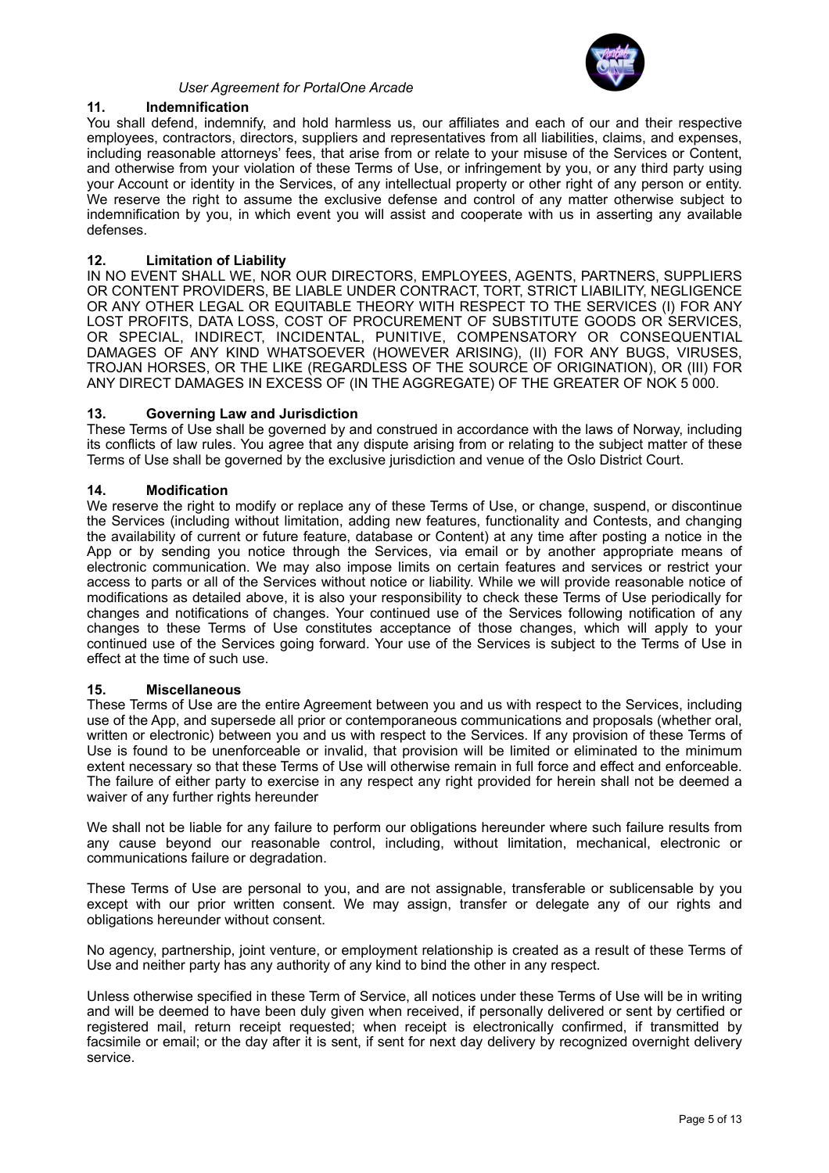

# **11. Indemnification**

You shall defend, indemnify, and hold harmless us, our affiliates and each of our and their respective employees, contractors, directors, suppliers and representatives from all liabilities, claims, and expenses, including reasonable attorneys' fees, that arise from or relate to your misuse of the Services or Content, and otherwise from your violation of these Terms of Use, or infringement by you, or any third party using your Account or identity in the Services, of any intellectual property or other right of any person or entity. We reserve the right to assume the exclusive defense and control of any matter otherwise subject to indemnification by you, in which event you will assist and cooperate with us in asserting any available defenses.

## **12. Limitation of Liability**

IN NO EVENT SHALL WE, NOR OUR DIRECTORS, EMPLOYEES, AGENTS, PARTNERS, SUPPLIERS OR CONTENT PROVIDERS, BE LIABLE UNDER CONTRACT, TORT, STRICT LIABILITY, NEGLIGENCE OR ANY OTHER LEGAL OR EQUITABLE THEORY WITH RESPECT TO THE SERVICES (I) FOR ANY LOST PROFITS, DATA LOSS, COST OF PROCUREMENT OF SUBSTITUTE GOODS OR SERVICES, OR SPECIAL, INDIRECT, INCIDENTAL, PUNITIVE, COMPENSATORY OR CONSEQUENTIAL DAMAGES OF ANY KIND WHATSOEVER (HOWEVER ARISING), (II) FOR ANY BUGS, VIRUSES, TROJAN HORSES, OR THE LIKE (REGARDLESS OF THE SOURCE OF ORIGINATION), OR (III) FOR ANY DIRECT DAMAGES IN EXCESS OF (IN THE AGGREGATE) OF THE GREATER OF NOK 5 000.

#### **13. Governing Law and Jurisdiction**

These Terms of Use shall be governed by and construed in accordance with the laws of Norway, including its conflicts of law rules. You agree that any dispute arising from or relating to the subject matter of these Terms of Use shall be governed by the exclusive jurisdiction and venue of the Oslo District Court.

#### **14. Modification**

We reserve the right to modify or replace any of these Terms of Use, or change, suspend, or discontinue the Services (including without limitation, adding new features, functionality and Contests, and changing the availability of current or future feature, database or Content) at any time after posting a notice in the App or by sending you notice through the Services, via email or by another appropriate means of electronic communication. We may also impose limits on certain features and services or restrict your access to parts or all of the Services without notice or liability. While we will provide reasonable notice of modifications as detailed above, it is also your responsibility to check these Terms of Use periodically for changes and notifications of changes. Your continued use of the Services following notification of any changes to these Terms of Use constitutes acceptance of those changes, which will apply to your continued use of the Services going forward. Your use of the Services is subject to the Terms of Use in effect at the time of such use.

#### **15. Miscellaneous**

These Terms of Use are the entire Agreement between you and us with respect to the Services, including use of the App, and supersede all prior or contemporaneous communications and proposals (whether oral, written or electronic) between you and us with respect to the Services. If any provision of these Terms of Use is found to be unenforceable or invalid, that provision will be limited or eliminated to the minimum extent necessary so that these Terms of Use will otherwise remain in full force and effect and enforceable. The failure of either party to exercise in any respect any right provided for herein shall not be deemed a waiver of any further rights hereunder

We shall not be liable for any failure to perform our obligations hereunder where such failure results from any cause beyond our reasonable control, including, without limitation, mechanical, electronic or communications failure or degradation.

These Terms of Use are personal to you, and are not assignable, transferable or sublicensable by you except with our prior written consent. We may assign, transfer or delegate any of our rights and obligations hereunder without consent.

No agency, partnership, joint venture, or employment relationship is created as a result of these Terms of Use and neither party has any authority of any kind to bind the other in any respect.

Unless otherwise specified in these Term of Service, all notices under these Terms of Use will be in writing and will be deemed to have been duly given when received, if personally delivered or sent by certified or registered mail, return receipt requested; when receipt is electronically confirmed, if transmitted by facsimile or email; or the day after it is sent, if sent for next day delivery by recognized overnight delivery service.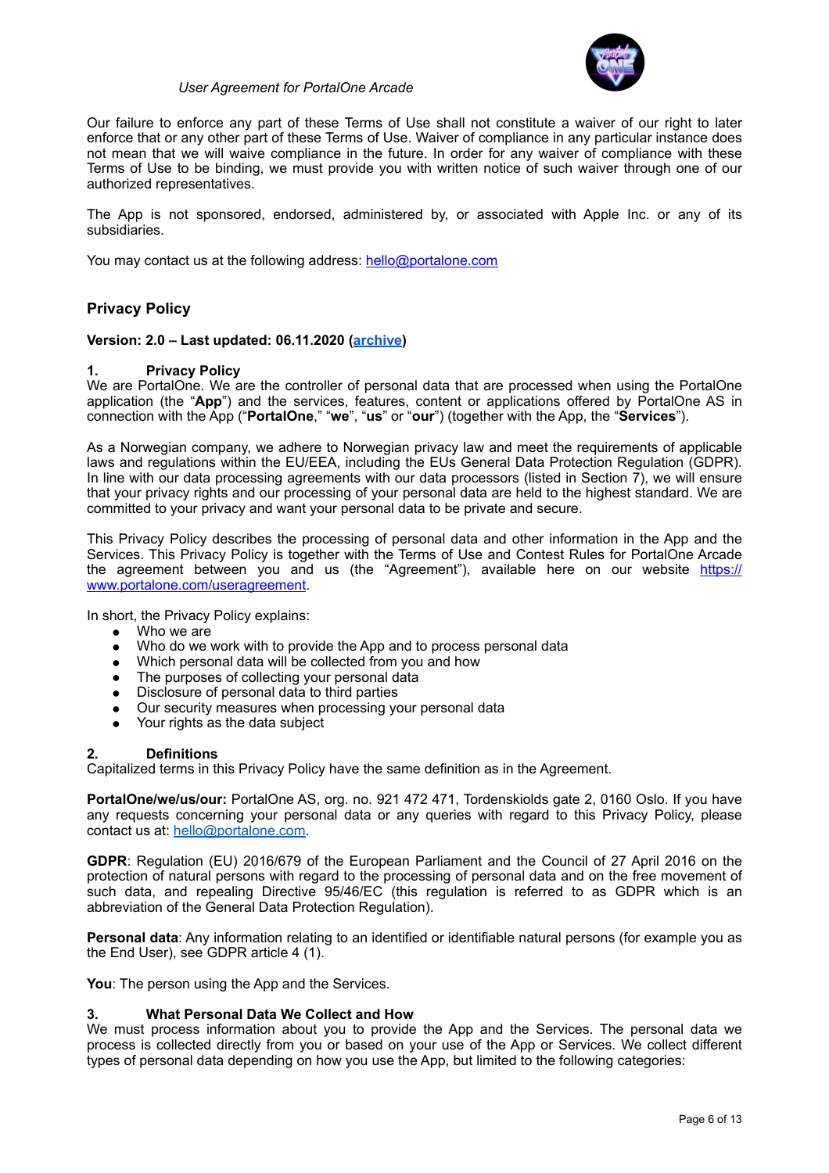

Our failure to enforce any part of these Terms of Use shall not constitute a waiver of our right to later enforce that or any other part of these Terms of Use. Waiver of compliance in any particular instance does not mean that we will waive compliance in the future. In order for any waiver of compliance with these Terms of Use to be binding, we must provide you with written notice of such waiver through one of our authorized representatives.

The App is not sponsored, endorsed, administered by, or associated with Apple Inc. or any of its subsidiaries.

You may contact us at the following address: [hello@portalone.com](mailto:hello@portalone.com)

# **Privacy Policy**

#### **Version: 2.0 – Last updated: 06.11.2020 ([archive\)](https://www.portalone.com/useragreement/archived)**

#### **1. Privacy Policy**

We are PortalOne. We are the controller of personal data that are processed when using the PortalOne application (the "**App**") and the services, features, content or applications offered by PortalOne AS in connection with the App ("**PortalOne**," "**we**", "**us**" or "**our**") (together with the App, the "**Services**").

As a Norwegian company, we adhere to Norwegian privacy law and meet the requirements of applicable laws and regulations within the EU/EEA, including the EUs General Data Protection Regulation (GDPR). In line with our data processing agreements with our data processors (listed in Section  $\vec{r}$ ), we will ensure that your privacy rights and our processing of your personal data are held to the highest standard. We are committed to your privacy and want your personal data to be private and secure.

This Privacy Policy describes the processing of personal data and other information in the App and the Services. This Privacy Policy is together with the Terms of Use and Contest Rules for PortalOne Arcade the agreement between you and us (the "Agreement"), available here on our website [https://](https://www.portalone.com/useragreement) [www.portalone.com/useragreement.](https://www.portalone.com/useragreement)

In short, the Privacy Policy explains:

- Who we are
- Who do we work with to provide the App and to process personal data
- Which personal data will be collected from you and how
- The purposes of collecting your personal data
- Disclosure of personal data to third parties
- Our security measures when processing your personal data
- Your rights as the data subject

#### **2. Definitions**

Capitalized terms in this Privacy Policy have the same definition as in the Agreement.

**PortalOne/we/us/our:** PortalOne AS, org. no. 921 472 471, Tordenskiolds gate 2, 0160 Oslo. If you have any requests concerning your personal data or any queries with regard to this Privacy Policy, please contact us at: [hello@portalone.com](mailto:hello@portalone.com).

**GDPR**: Regulation (EU) 2016/679 of the European Parliament and the Council of 27 April 2016 on the protection of natural persons with regard to the processing of personal data and on the free movement of such data, and repealing Directive 95/46/EC (this regulation is referred to as GDPR which is an abbreviation of the General Data Protection Regulation).

**Personal data**: Any information relating to an identified or identifiable natural persons (for example you as the End User), see GDPR article 4 (1).

**You**: The person using the App and the Services.

#### **3. What Personal Data We Collect and How**

We must process information about you to provide the App and the Services. The personal data we process is collected directly from you or based on your use of the App or Services. We collect different types of personal data depending on how you use the App, but limited to the following categories: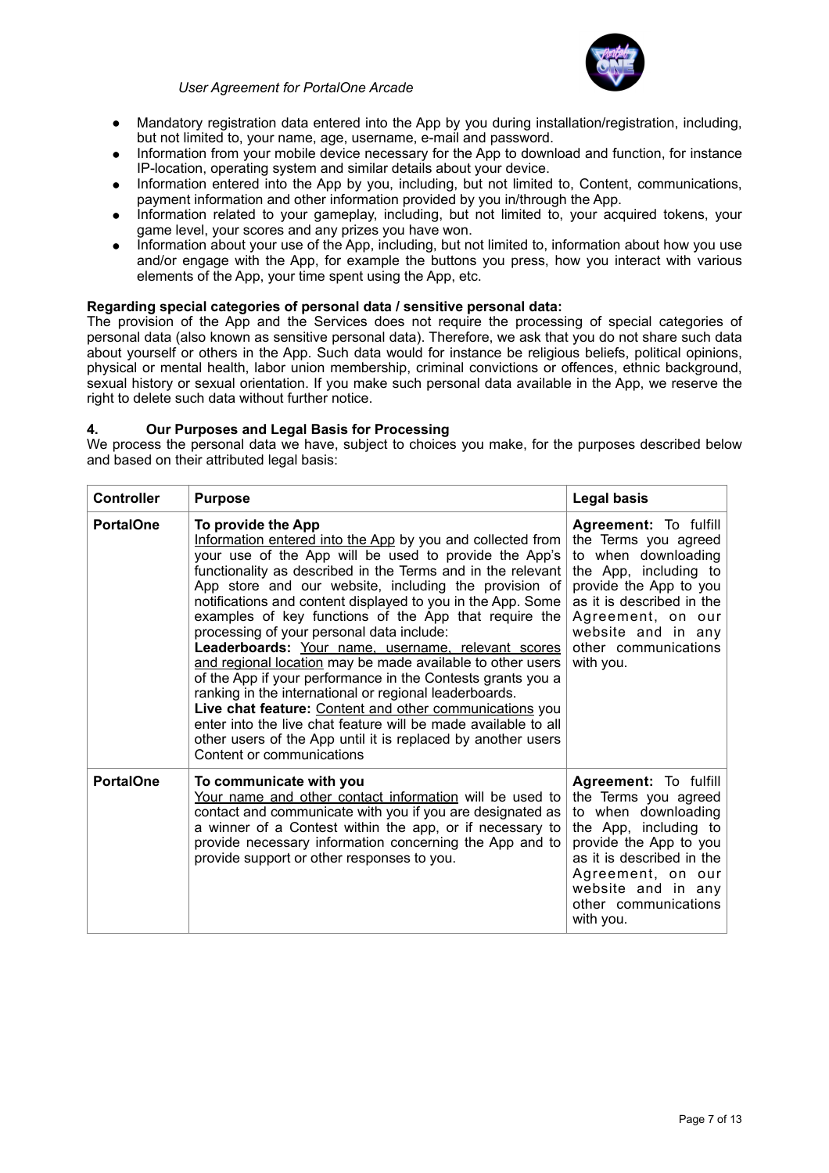

- Mandatory registration data entered into the App by you during installation/registration, including, but not limited to, your name, age, username, e-mail and password.
- Information from your mobile device necessary for the App to download and function, for instance IP-location, operating system and similar details about your device.
- Information entered into the App by you, including, but not limited to, Content, communications, payment information and other information provided by you in/through the App.
- Information related to your gameplay, including, but not limited to, your acquired tokens, your game level, your scores and any prizes you have won.
- Information about your use of the App, including, but not limited to, information about how you use and/or engage with the App, for example the buttons you press, how you interact with various elements of the App, your time spent using the App, etc.

## **Regarding special categories of personal data / sensitive personal data:**

The provision of the App and the Services does not require the processing of special categories of personal data (also known as sensitive personal data). Therefore, we ask that you do not share such data about yourself or others in the App. Such data would for instance be religious beliefs, political opinions, physical or mental health, labor union membership, criminal convictions or offences, ethnic background, sexual history or sexual orientation. If you make such personal data available in the App, we reserve the right to delete such data without further notice.

#### **4. Our Purposes and Legal Basis for Processing**

We process the personal data we have, subject to choices you make, for the purposes described below and based on their attributed legal basis:

| <b>Controller</b> | <b>Purpose</b>                                                                                                                                                                                                                                                                                                                                                                                                                                                                                                                                                                                                                                                                                                                                                                                                                                                                                                | <b>Legal basis</b>                                                                                                                                                                                                                          |
|-------------------|---------------------------------------------------------------------------------------------------------------------------------------------------------------------------------------------------------------------------------------------------------------------------------------------------------------------------------------------------------------------------------------------------------------------------------------------------------------------------------------------------------------------------------------------------------------------------------------------------------------------------------------------------------------------------------------------------------------------------------------------------------------------------------------------------------------------------------------------------------------------------------------------------------------|---------------------------------------------------------------------------------------------------------------------------------------------------------------------------------------------------------------------------------------------|
| <b>PortalOne</b>  | To provide the App<br>Information entered into the App by you and collected from<br>your use of the App will be used to provide the App's<br>functionality as described in the Terms and in the relevant<br>App store and our website, including the provision of<br>notifications and content displayed to you in the App. Some<br>examples of key functions of the App that require the<br>processing of your personal data include:<br>Leaderboards: Your name, username, relevant scores<br>and regional location may be made available to other users<br>of the App if your performance in the Contests grants you a<br>ranking in the international or regional leaderboards.<br>Live chat feature: Content and other communications you<br>enter into the live chat feature will be made available to all<br>other users of the App until it is replaced by another users<br>Content or communications | <b>Agreement:</b> To fulfill<br>the Terms you agreed<br>to when downloading<br>the App, including to<br>provide the App to you<br>as it is described in the<br>Agreement, on our<br>website and in any<br>other communications<br>with you. |
| <b>PortalOne</b>  | To communicate with you<br>Your name and other contact information will be used to<br>contact and communicate with you if you are designated as<br>a winner of a Contest within the app, or if necessary to<br>provide necessary information concerning the App and to<br>provide support or other responses to you.                                                                                                                                                                                                                                                                                                                                                                                                                                                                                                                                                                                          | Agreement: To fulfill<br>the Terms you agreed<br>to when downloading<br>the App, including to<br>provide the App to you<br>as it is described in the<br>Agreement, on our<br>website and in any<br>other communications<br>with you.        |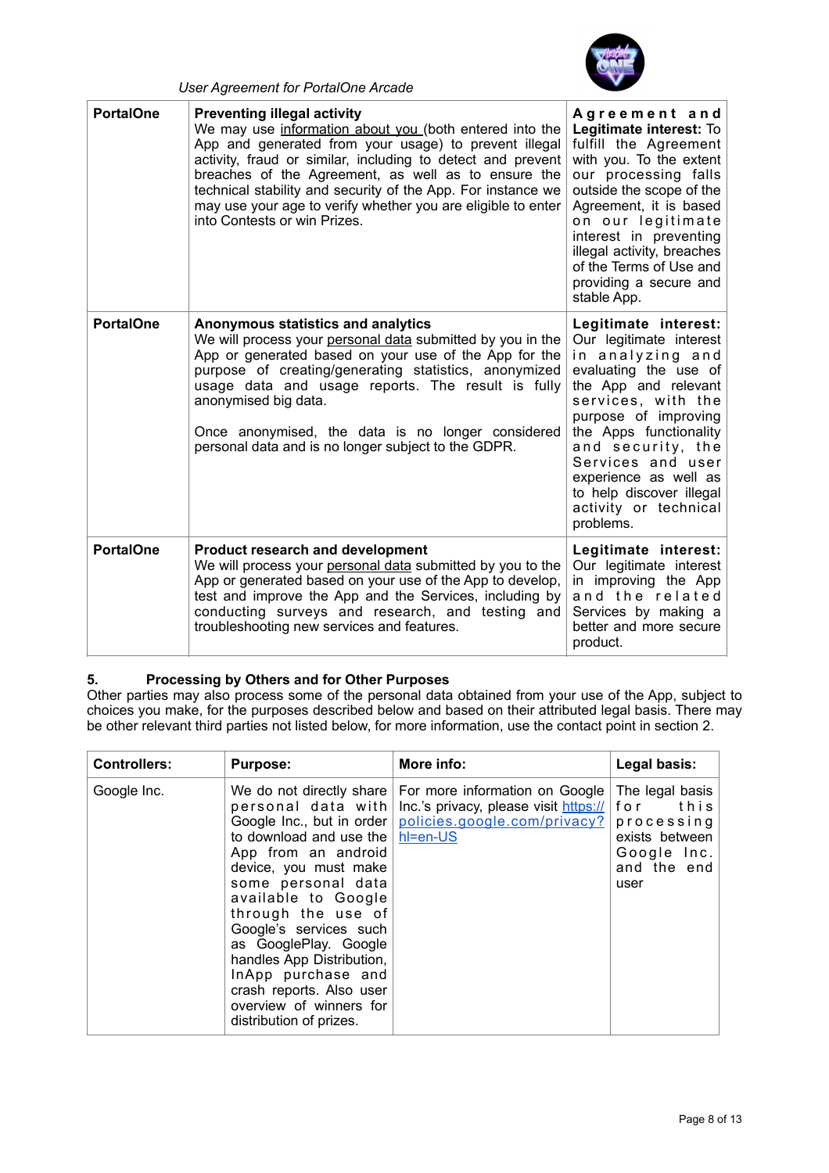

| <b>PortalOne</b> | <b>Preventing illegal activity</b><br>We may use information about you (both entered into the<br>App and generated from your usage) to prevent illegal<br>activity, fraud or similar, including to detect and prevent<br>breaches of the Agreement, as well as to ensure the<br>technical stability and security of the App. For instance we<br>may use your age to verify whether you are eligible to enter<br>into Contests or win Prizes. | Agreement and<br>Legitimate interest: To<br>fulfill the Agreement<br>with you. To the extent<br>our processing falls<br>outside the scope of the<br>Agreement, it is based<br>on our legitimate<br>interest in preventing<br>illegal activity, breaches<br>of the Terms of Use and<br>providing a secure and<br>stable App.       |
|------------------|----------------------------------------------------------------------------------------------------------------------------------------------------------------------------------------------------------------------------------------------------------------------------------------------------------------------------------------------------------------------------------------------------------------------------------------------|-----------------------------------------------------------------------------------------------------------------------------------------------------------------------------------------------------------------------------------------------------------------------------------------------------------------------------------|
| <b>PortalOne</b> | Anonymous statistics and analytics<br>We will process your personal data submitted by you in the<br>App or generated based on your use of the App for the<br>purpose of creating/generating statistics, anonymized<br>usage data and usage reports. The result is fully<br>anonymised big data.<br>Once anonymised, the data is no longer considered<br>personal data and is no longer subject to the GDPR.                                  | Legitimate interest:<br>Our legitimate interest<br>in analyzing and<br>evaluating the use of<br>the App and relevant<br>services, with the<br>purpose of improving<br>the Apps functionality<br>and security, the<br>Services and user<br>experience as well as<br>to help discover illegal<br>activity or technical<br>problems. |
| <b>PortalOne</b> | <b>Product research and development</b><br>We will process your personal data submitted by you to the<br>App or generated based on your use of the App to develop,<br>test and improve the App and the Services, including by<br>conducting surveys and research, and testing and<br>troubleshooting new services and features.                                                                                                              | Legitimate interest:<br>Our legitimate interest<br>in improving the App<br>and the related<br>Services by making a<br>better and more secure<br>product.                                                                                                                                                                          |

# **5. Processing by Others and for Other Purposes**

*User Agreement for PortalOne Arcade* 

Other parties may also process some of the personal data obtained from your use of the App, subject to choices you make, for the purposes described below and based on their attributed legal basis. There may be other relevant third parties not listed below, for more information, use the contact point in section 2.

| <b>Controllers:</b> | <b>Purpose:</b>                                                                                                                                                                                                                                                                                                                                                                                                   | More info:                                                                                                          | Legal basis:                                                                                         |
|---------------------|-------------------------------------------------------------------------------------------------------------------------------------------------------------------------------------------------------------------------------------------------------------------------------------------------------------------------------------------------------------------------------------------------------------------|---------------------------------------------------------------------------------------------------------------------|------------------------------------------------------------------------------------------------------|
| Google Inc.         | We do not directly share<br>personal data with<br>Google Inc., but in order<br>to download and use the<br>App from an android<br>device, you must make<br>some personal data<br>available to Google<br>through the use of<br>Google's services such<br>as GooglePlay. Google<br>handles App Distribution,<br>InApp purchase and<br>crash reports. Also user<br>overview of winners for<br>distribution of prizes. | For more information on Google<br>Inc.'s privacy, please visit https://<br>policies.google.com/privacy?<br>hl=en-US | The legal basis<br>for<br>this<br>processing<br>exists between<br>Google Inc.<br>and the end<br>user |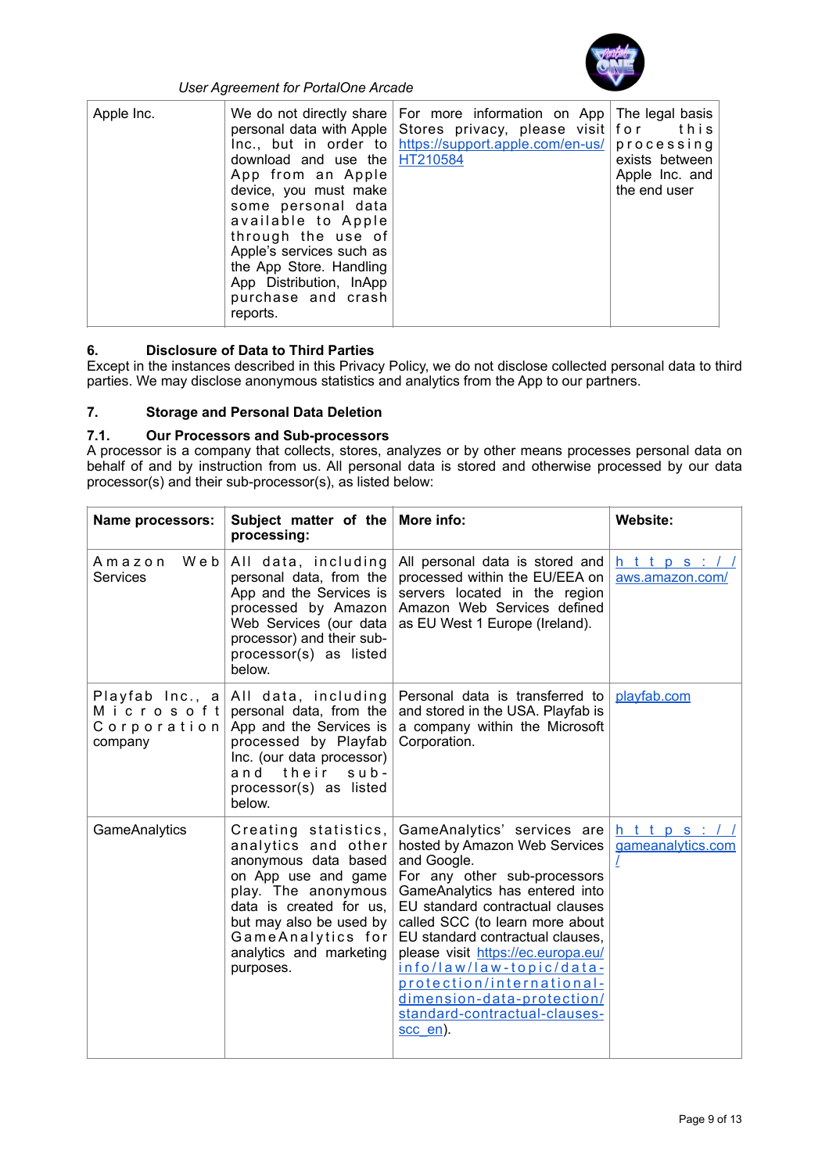

| Apple Inc. | download and use the $HT210584$<br>App from an Apple<br>device, you must make<br>some personal data<br>available to Apple<br>through the use of<br>Apple's services such as<br>the App Store. Handling<br>App Distribution, InApp<br>purchase and crash<br>reports. | We do not directly share   For more information on App   The legal basis  <br>personal data with Apple Stores privacy, please visit $for$ this<br>$Inc.,$ but in order to https://support.apple.com/en-us/ processing | exists between<br>Apple Inc. and<br>the end user |
|------------|---------------------------------------------------------------------------------------------------------------------------------------------------------------------------------------------------------------------------------------------------------------------|-----------------------------------------------------------------------------------------------------------------------------------------------------------------------------------------------------------------------|--------------------------------------------------|
|------------|---------------------------------------------------------------------------------------------------------------------------------------------------------------------------------------------------------------------------------------------------------------------|-----------------------------------------------------------------------------------------------------------------------------------------------------------------------------------------------------------------------|--------------------------------------------------|

# **6. Disclosure of Data to Third Parties**

Except in the instances described in this Privacy Policy, we do not disclose collected personal data to third parties. We may disclose anonymous statistics and analytics from the App to our partners.

# **7. Storage and Personal Data Deletion**

# **7.1. Our Processors and Sub-processors**

A processor is a company that collects, stores, analyzes or by other means processes personal data on behalf of and by instruction from us. All personal data is stored and otherwise processed by our data processor(s) and their sub-processor(s), as listed below:

| <b>Name processors:</b>              | Subject matter of the<br>processing:                                                                                                                                                                                                 | More info:                                                                                                                                                                                                                                                                                                                                                                                                                        | <b>Website:</b>             |
|--------------------------------------|--------------------------------------------------------------------------------------------------------------------------------------------------------------------------------------------------------------------------------------|-----------------------------------------------------------------------------------------------------------------------------------------------------------------------------------------------------------------------------------------------------------------------------------------------------------------------------------------------------------------------------------------------------------------------------------|-----------------------------|
| Web<br>Amazon<br><b>Services</b>     | All data, including<br>personal data, from the<br>App and the Services is<br>processed by Amazon<br>Web Services (our data<br>processor) and their sub-<br>processor(s) as listed<br>below.                                          | All personal data is stored and<br>processed within the EU/EEA on<br>servers located in the region<br>Amazon Web Services defined<br>as EU West 1 Europe (Ireland).                                                                                                                                                                                                                                                               | https:<br>aws.amazon.com/   |
| Microsoftl<br>Corporation<br>company | Playfab Inc., a All data, including<br>personal data, from the<br>App and the Services is<br>processed by Playfab<br>Inc. (our data processor)<br>their<br>and<br>$s$ ub-<br>processor(s) as listed<br>below.                        | Personal data is transferred to<br>and stored in the USA. Playfab is<br>a company within the Microsoft<br>Corporation.                                                                                                                                                                                                                                                                                                            | playfab.com                 |
| GameAnalytics                        | Creating statistics,<br>analytics and other<br>anonymous data based<br>on App use and game<br>play. The anonymous<br>data is created for us,<br>but may also be used by<br>GameAnalytics for<br>analytics and marketing<br>purposes. | GameAnalytics' services are<br>hosted by Amazon Web Services<br>and Google.<br>For any other sub-processors<br>GameAnalytics has entered into<br>EU standard contractual clauses<br>called SCC (to learn more about<br>EU standard contractual clauses,<br>please visit https://ec.europa.eu/<br>info/law/law-topic/data-<br>protection/international-<br>dimension-data-protection/<br>standard-contractual-clauses-<br>scc en). | https:<br>gameanalytics.com |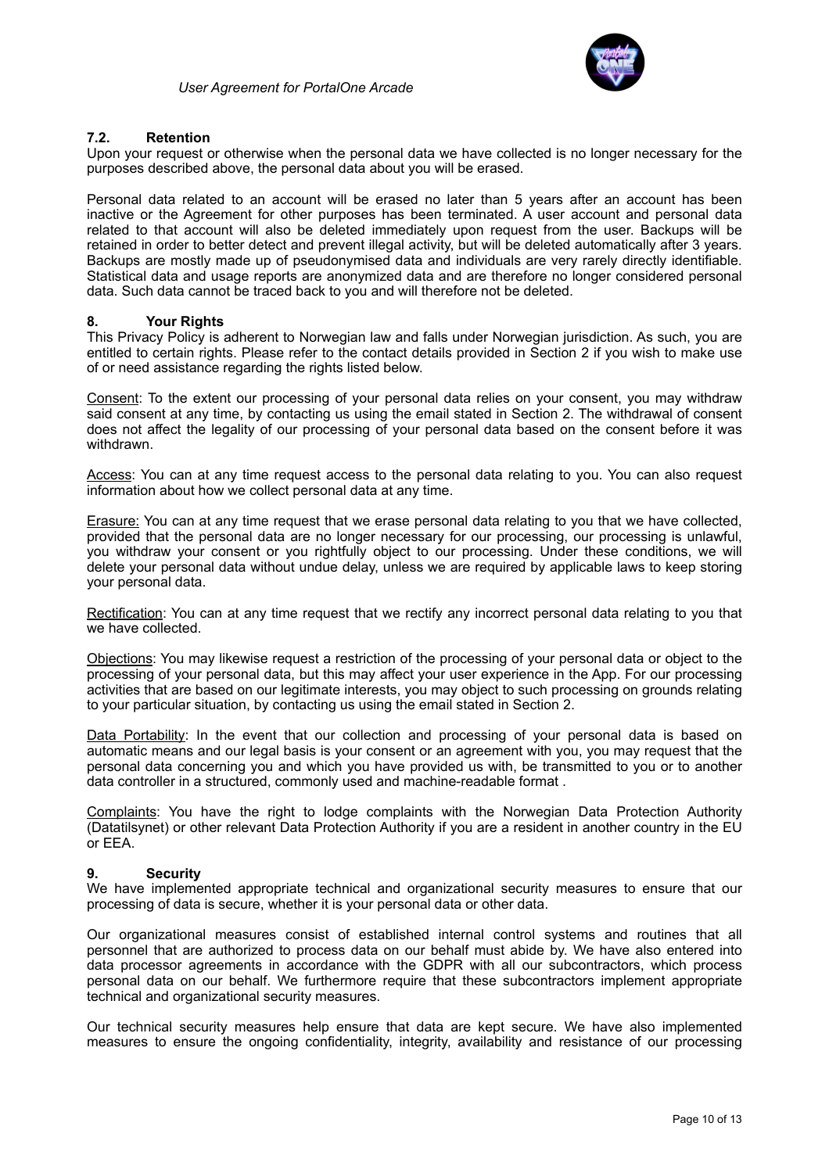

#### **7.2. Retention**

Upon your request or otherwise when the personal data we have collected is no longer necessary for the purposes described above, the personal data about you will be erased.

Personal data related to an account will be erased no later than 5 years after an account has been inactive or the Agreement for other purposes has been terminated. A user account and personal data related to that account will also be deleted immediately upon request from the user. Backups will be retained in order to better detect and prevent illegal activity, but will be deleted automatically after 3 years. Backups are mostly made up of pseudonymised data and individuals are very rarely directly identifiable. Statistical data and usage reports are anonymized data and are therefore no longer considered personal data. Such data cannot be traced back to you and will therefore not be deleted.

#### **8. Your Rights**

This Privacy Policy is adherent to Norwegian law and falls under Norwegian jurisdiction. As such, you are entitled to certain rights. Please refer to the contact details provided in Section 2 if you wish to make use of or need assistance regarding the rights listed below.

Consent: To the extent our processing of your personal data relies on your consent, you may withdraw said consent at any time, by contacting us using the email stated in Section 2. The withdrawal of consent does not affect the legality of our processing of your personal data based on the consent before it was withdrawn.

Access: You can at any time request access to the personal data relating to you. You can also request information about how we collect personal data at any time.

Erasure: You can at any time request that we erase personal data relating to you that we have collected, provided that the personal data are no longer necessary for our processing, our processing is unlawful, you withdraw your consent or you rightfully object to our processing. Under these conditions, we will delete your personal data without undue delay, unless we are required by applicable laws to keep storing your personal data.

Rectification: You can at any time request that we rectify any incorrect personal data relating to you that we have collected.

Objections: You may likewise request a restriction of the processing of your personal data or object to the processing of your personal data, but this may affect your user experience in the App. For our processing activities that are based on our legitimate interests, you may object to such processing on grounds relating to your particular situation, by contacting us using the email stated in Section 2.

Data Portability: In the event that our collection and processing of your personal data is based on automatic means and our legal basis is your consent or an agreement with you, you may request that the personal data concerning you and which you have provided us with, be transmitted to you or to another data controller in a structured, commonly used and machine-readable format .

Complaints: You have the right to lodge complaints with the Norwegian Data Protection Authority (Datatilsynet) or other relevant Data Protection Authority if you are a resident in another country in the EU or EEA.

#### **9. Security**

We have implemented appropriate technical and organizational security measures to ensure that our processing of data is secure, whether it is your personal data or other data.

Our organizational measures consist of established internal control systems and routines that all personnel that are authorized to process data on our behalf must abide by. We have also entered into data processor agreements in accordance with the GDPR with all our subcontractors, which process personal data on our behalf. We furthermore require that these subcontractors implement appropriate technical and organizational security measures.

Our technical security measures help ensure that data are kept secure. We have also implemented measures to ensure the ongoing confidentiality, integrity, availability and resistance of our processing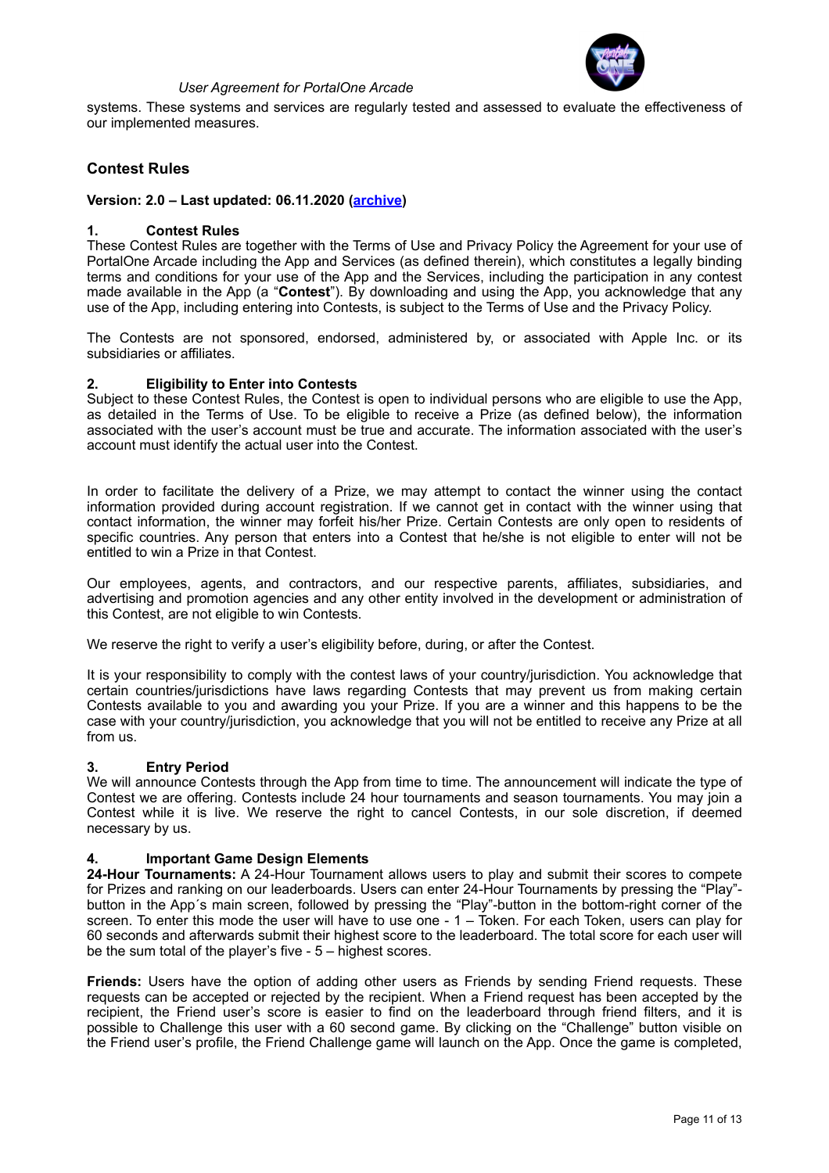

systems. These systems and services are regularly tested and assessed to evaluate the effectiveness of our implemented measures.

# **Contest Rules**

#### **Version: 2.0 – Last updated: 06.11.2020 ([archive\)](https://www.portalone.com/useragreement/archived)**

#### **1. Contest Rules**

These Contest Rules are together with the Terms of Use and Privacy Policy the Agreement for your use of PortalOne Arcade including the App and Services (as defined therein), which constitutes a legally binding terms and conditions for your use of the App and the Services, including the participation in any contest made available in the App (a "**Contest**"). By downloading and using the App, you acknowledge that any use of the App, including entering into Contests, is subject to the Terms of Use and the Privacy Policy.

The Contests are not sponsored, endorsed, administered by, or associated with Apple Inc. or its subsidiaries or affiliates.

#### **2. Eligibility to Enter into Contests**

Subject to these Contest Rules, the Contest is open to individual persons who are eligible to use the App, as detailed in the Terms of Use. To be eligible to receive a Prize (as defined below), the information associated with the user's account must be true and accurate. The information associated with the user's account must identify the actual user into the Contest.

In order to facilitate the delivery of a Prize, we may attempt to contact the winner using the contact information provided during account registration. If we cannot get in contact with the winner using that contact information, the winner may forfeit his/her Prize. Certain Contests are only open to residents of specific countries. Any person that enters into a Contest that he/she is not eligible to enter will not be entitled to win a Prize in that Contest.

Our employees, agents, and contractors, and our respective parents, affiliates, subsidiaries, and advertising and promotion agencies and any other entity involved in the development or administration of this Contest, are not eligible to win Contests.

We reserve the right to verify a user's eligibility before, during, or after the Contest.

It is your responsibility to comply with the contest laws of your country/jurisdiction. You acknowledge that certain countries/jurisdictions have laws regarding Contests that may prevent us from making certain Contests available to you and awarding you your Prize. If you are a winner and this happens to be the case with your country/jurisdiction, you acknowledge that you will not be entitled to receive any Prize at all from us.

#### **3. Entry Period**

We will announce Contests through the App from time to time. The announcement will indicate the type of Contest we are offering. Contests include 24 hour tournaments and season tournaments. You may join a Contest while it is live. We reserve the right to cancel Contests, in our sole discretion, if deemed necessary by us.

#### **4. Important Game Design Elements**

**24-Hour Tournaments:** A 24-Hour Tournament allows users to play and submit their scores to compete for Prizes and ranking on our leaderboards. Users can enter 24-Hour Tournaments by pressing the "Play" button in the App´s main screen, followed by pressing the "Play"-button in the bottom-right corner of the screen. To enter this mode the user will have to use one - 1 – Token. For each Token, users can play for 60 seconds and afterwards submit their highest score to the leaderboard. The total score for each user will be the sum total of the player's five - 5 – highest scores.

**Friends:** Users have the option of adding other users as Friends by sending Friend requests. These requests can be accepted or rejected by the recipient. When a Friend request has been accepted by the recipient, the Friend user's score is easier to find on the leaderboard through friend filters, and it is possible to Challenge this user with a 60 second game. By clicking on the "Challenge" button visible on the Friend user's profile, the Friend Challenge game will launch on the App. Once the game is completed,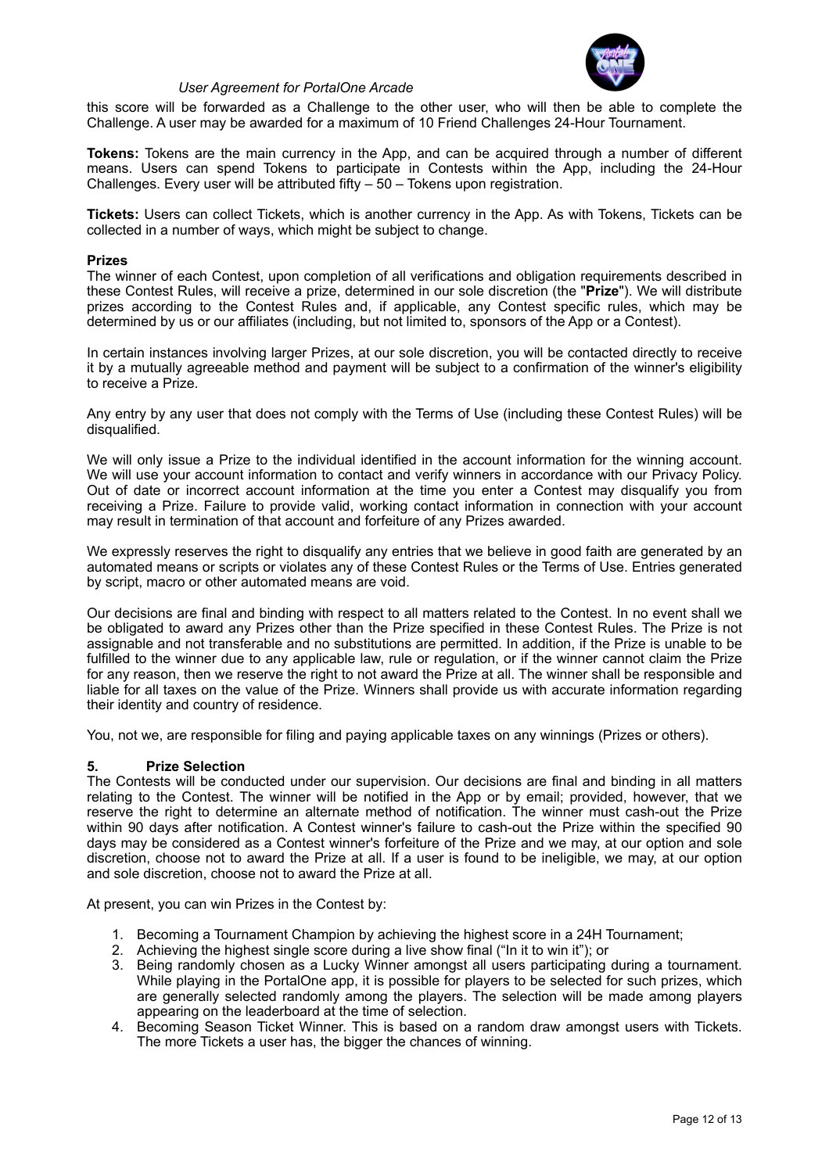

this score will be forwarded as a Challenge to the other user, who will then be able to complete the Challenge. A user may be awarded for a maximum of 10 Friend Challenges 24-Hour Tournament.

**Tokens:** Tokens are the main currency in the App, and can be acquired through a number of different means. Users can spend Tokens to participate in Contests within the App, including the 24-Hour Challenges. Every user will be attributed fifty – 50 – Tokens upon registration.

**Tickets:** Users can collect Tickets, which is another currency in the App. As with Tokens, Tickets can be collected in a number of ways, which might be subject to change.

#### **Prizes**

The winner of each Contest, upon completion of all verifications and obligation requirements described in these Contest Rules, will receive a prize, determined in our sole discretion (the "**Prize**"). We will distribute prizes according to the Contest Rules and, if applicable, any Contest specific rules, which may be determined by us or our affiliates (including, but not limited to, sponsors of the App or a Contest).

In certain instances involving larger Prizes, at our sole discretion, you will be contacted directly to receive it by a mutually agreeable method and payment will be subject to a confirmation of the winner's eligibility to receive a Prize.

Any entry by any user that does not comply with the Terms of Use (including these Contest Rules) will be disqualified.

We will only issue a Prize to the individual identified in the account information for the winning account. We will use your account information to contact and verify winners in accordance with our Privacy Policy. Out of date or incorrect account information at the time you enter a Contest may disqualify you from receiving a Prize. Failure to provide valid, working contact information in connection with your account may result in termination of that account and forfeiture of any Prizes awarded.

We expressly reserves the right to disqualify any entries that we believe in good faith are generated by an automated means or scripts or violates any of these Contest Rules or the Terms of Use. Entries generated by script, macro or other automated means are void.

Our decisions are final and binding with respect to all matters related to the Contest. In no event shall we be obligated to award any Prizes other than the Prize specified in these Contest Rules. The Prize is not assignable and not transferable and no substitutions are permitted. In addition, if the Prize is unable to be fulfilled to the winner due to any applicable law, rule or regulation, or if the winner cannot claim the Prize for any reason, then we reserve the right to not award the Prize at all. The winner shall be responsible and liable for all taxes on the value of the Prize. Winners shall provide us with accurate information regarding their identity and country of residence.

You, not we, are responsible for filing and paying applicable taxes on any winnings (Prizes or others).

#### **5. Prize Selection**

The Contests will be conducted under our supervision. Our decisions are final and binding in all matters relating to the Contest. The winner will be notified in the App or by email; provided, however, that we reserve the right to determine an alternate method of notification. The winner must cash-out the Prize within 90 days after notification. A Contest winner's failure to cash-out the Prize within the specified 90 days may be considered as a Contest winner's forfeiture of the Prize and we may, at our option and sole discretion, choose not to award the Prize at all. If a user is found to be ineligible, we may, at our option and sole discretion, choose not to award the Prize at all.

At present, you can win Prizes in the Contest by:

- 1. Becoming a Tournament Champion by achieving the highest score in a 24H Tournament;
- 2. Achieving the highest single score during a live show final ("In it to win it"); or
- 3. Being randomly chosen as a Lucky Winner amongst all users participating during a tournament. While playing in the PortalOne app, it is possible for players to be selected for such prizes, which are generally selected randomly among the players. The selection will be made among players appearing on the leaderboard at the time of selection.
- 4. Becoming Season Ticket Winner. This is based on a random draw amongst users with Tickets. The more Tickets a user has, the bigger the chances of winning.